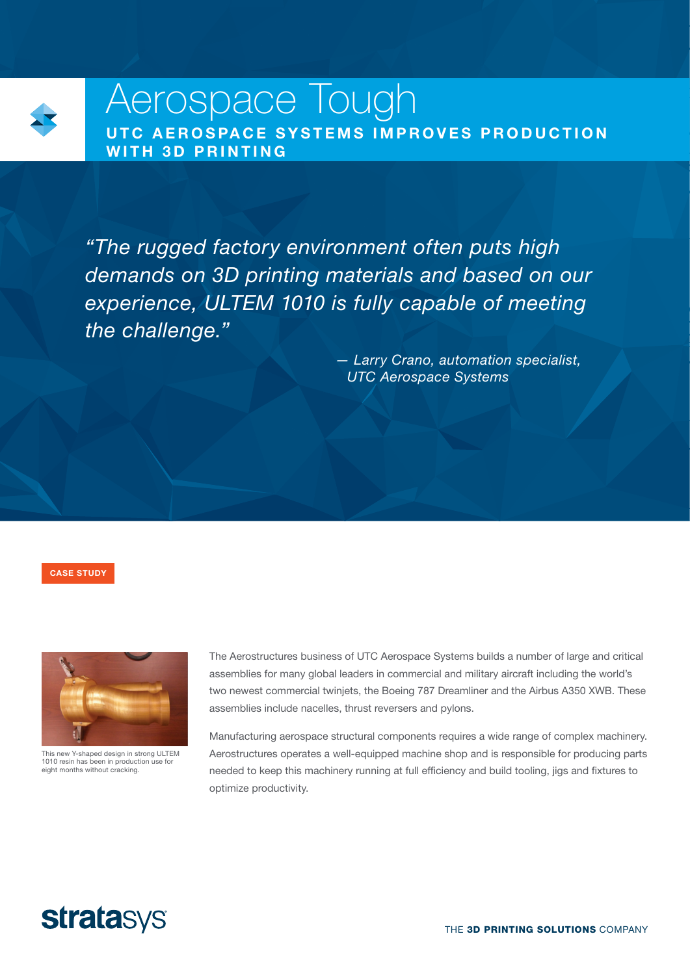

# Aerospace Tough UTC AEROSPACE SYSTEMS IMPROVES PRODUCTION WITH 3D PRINTING

*"The rugged factory environment often puts high demands on 3D printing materials and based on our experience, ULTEM 1010 is fully capable of meeting the challenge."*

> *— Larry Crano, automation specialist, UTC Aerospace Systems*

CASE STUDY



This new Y-shaped design in strong ULTEM 1010 resin has been in production use for eight months without cracking.

The Aerostructures business of UTC Aerospace Systems builds a number of large and critical assemblies for many global leaders in commercial and military aircraft including the world's two newest commercial twinjets, the Boeing 787 Dreamliner and the Airbus A350 XWB. These assemblies include nacelles, thrust reversers and pylons.

Manufacturing aerospace structural components requires a wide range of complex machinery. Aerostructures operates a well-equipped machine shop and is responsible for producing parts needed to keep this machinery running at full efficiency and build tooling, jigs and fixtures to optimize productivity.